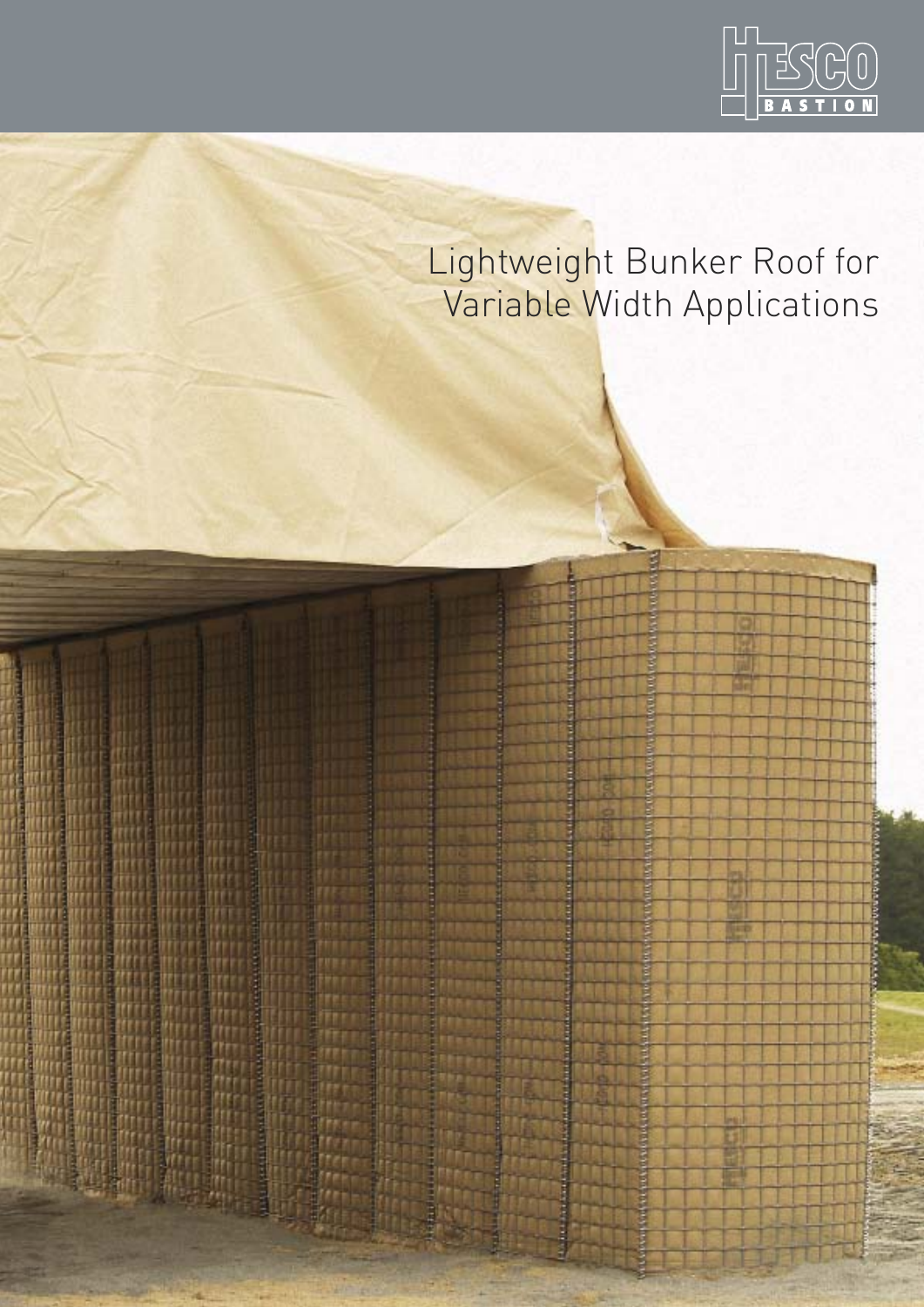

# Lightweight Bunker Roof for Variable Width Applications

Ē ğ

Ě E

**Change over** 

**MARINA DESITAS**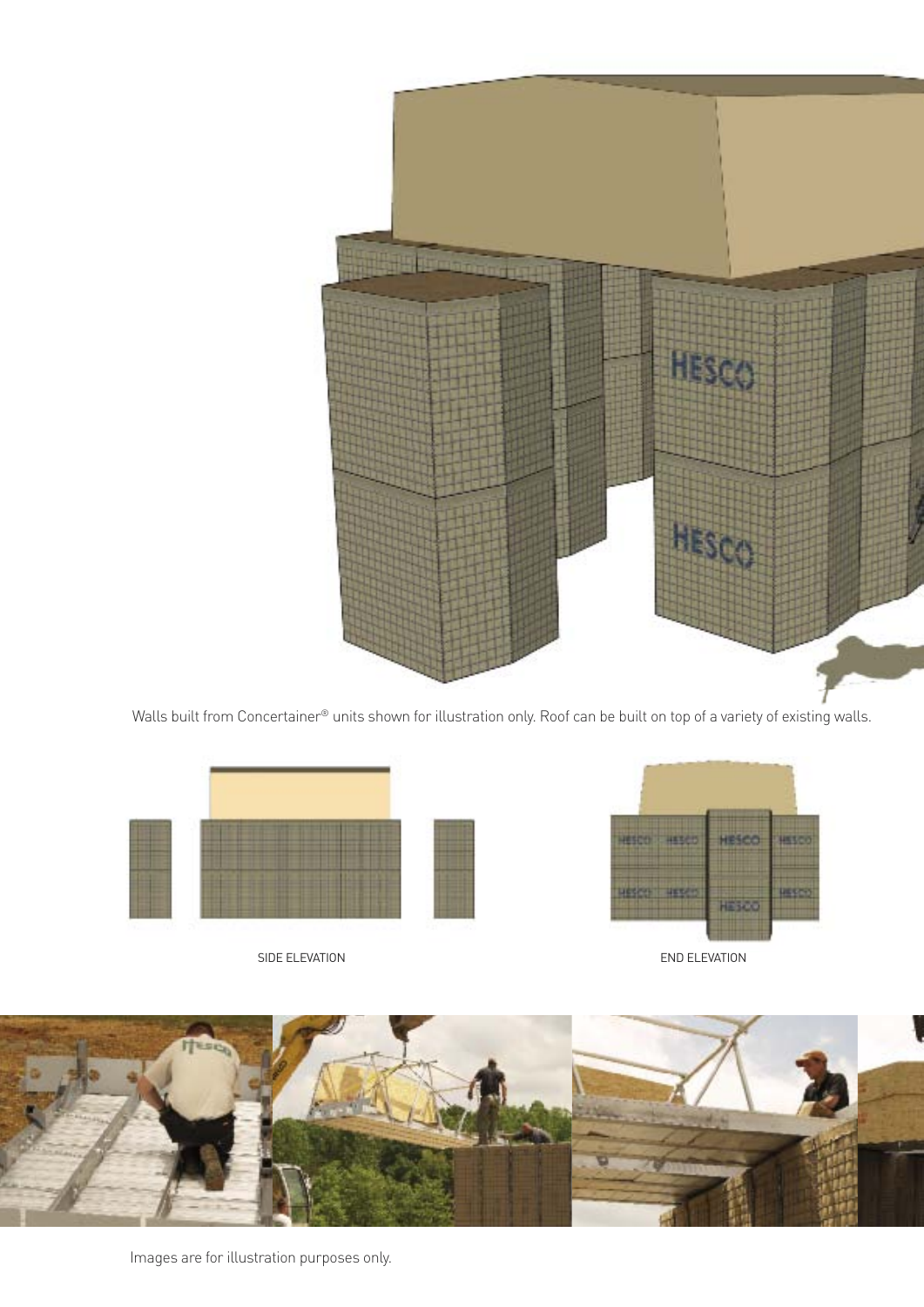

Walls built from Concertainer® units shown for illustration only. Roof can be built on top of a variety of existing walls.



SIDE ELEVATION END ELEVATION



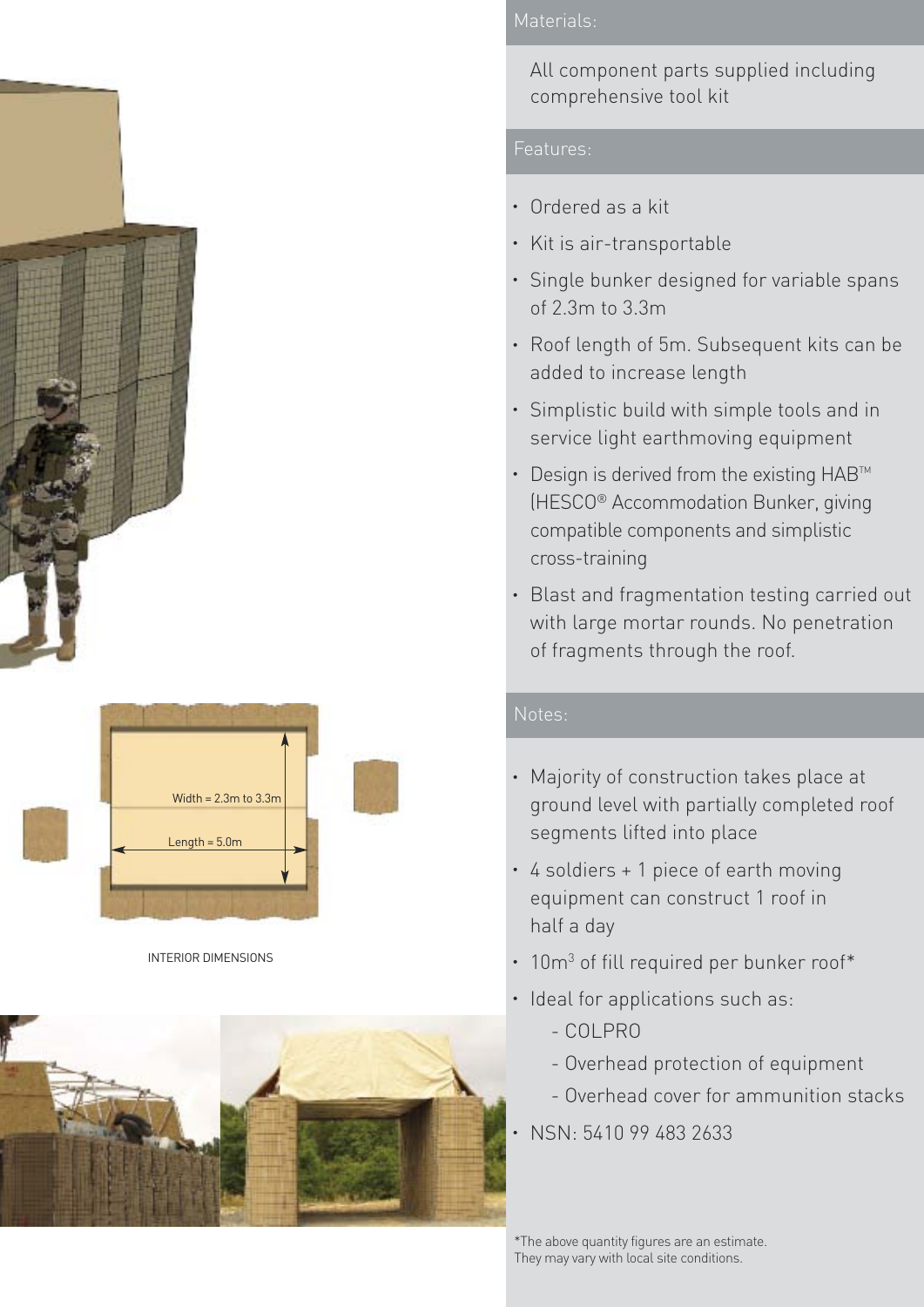



INTERIOR DIMENSIONS



## Materials:

All component parts supplied including comprehensive tool kit

### Features:

- Ordered as a kit
- Kit is air-transportable
- Single bunker designed for variable spans of 2.3m to 3.3m
- Roof length of 5m. Subsequent kits can be added to increase length
- Simplistic build with simple tools and in service light earthmoving equipment
- $\cdot$  Design is derived from the existing  $HAB^{TM}$ (HESCO® Accommodation Bunker, giving compatible components and simplistic cross-training
- Blast and fragmentation testing carried out with large mortar rounds. No penetration of fragments through the roof.

## Notes:

- Majority of construction takes place at ground level with partially completed roof segments lifted into place
- 4 soldiers + 1 piece of earth moving equipment can construct 1 roof in half a day
- 10m<sup>3</sup> of fill required per bunker roof\*
- Ideal for applications such as:
	- COLPRO
	- Overhead protection of equipment
	- Overhead cover for ammunition stacks
- NSN: 5410 99 483 2633

\*The above quantity figures are an estimate. They may vary with local site conditions.